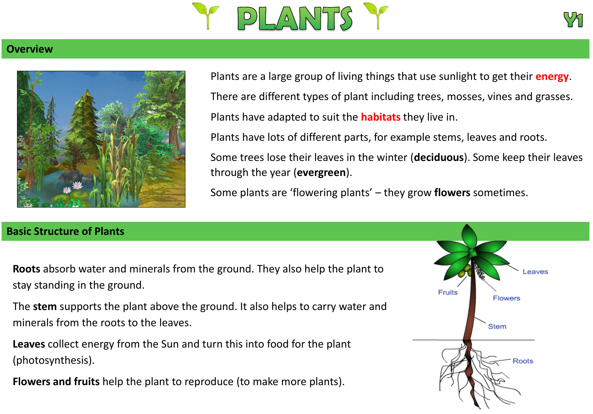



## **Overview**



Plants are a large group of living things that use sunlight to get their **energy**. There are different types of plant including trees, mosses, vines and grasses. Plants have adapted to suit the **habitats** they live in. Plants have lots of different parts, for example stems, leaves and roots.

Some trees lose their leaves in the winter (**deciduous**). Some keep their leaves through the year (**evergreen**).

Some plants are 'flowering plants' – they grow **flowers** sometimes.

## **Basic Structure of Plants**

**Roots** absorb water and minerals from the ground. They also help the plant to stay standing in the ground.

The **stem** supports the plant above the ground. It also helps to carry water and minerals from the roots to the leaves.

**Leaves** collect energy from the Sun and turn this into food for the plant (photosynthesis).

**Flowers and fruits** help the plant to reproduce (to make more plants).